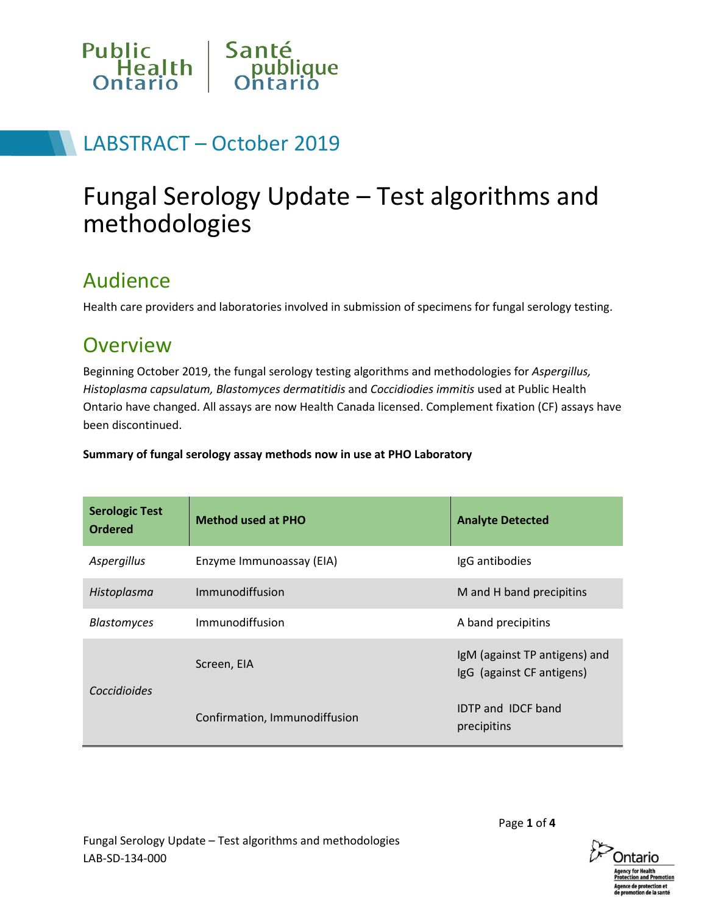

## LABSTRACT – October 2019

# Fungal Serology Update – Test algorithms and methodologies

### Audience

Health care providers and laboratories involved in submission of specimens for fungal serology testing.

### **Overview**

Beginning October 2019, the fungal serology testing algorithms and methodologies for *Aspergillus, Histoplasma capsulatum, Blastomyces dermatitidis* and *Coccidiodies immitis* used at Public Health Ontario have changed. All assays are now Health Canada licensed. Complement fixation (CF) assays have been discontinued.

**Summary of fungal serology assay methods now in use at PHO Laboratory**

| <b>Serologic Test</b><br><b>Ordered</b> | <b>Method used at PHO</b>     | <b>Analyte Detected</b>                                    |
|-----------------------------------------|-------------------------------|------------------------------------------------------------|
| Aspergillus                             | Enzyme Immunoassay (EIA)      | IgG antibodies                                             |
| Histoplasma                             | Immunodiffusion               | M and H band precipitins                                   |
| <b>Blastomyces</b>                      | Immunodiffusion               | A band precipitins                                         |
| Coccidioides                            | Screen, EIA                   | IgM (against TP antigens) and<br>IgG (against CF antigens) |
|                                         | Confirmation, Immunodiffusion | <b>IDTP and IDCF band</b><br>precipitins                   |

Page **1** of **4**

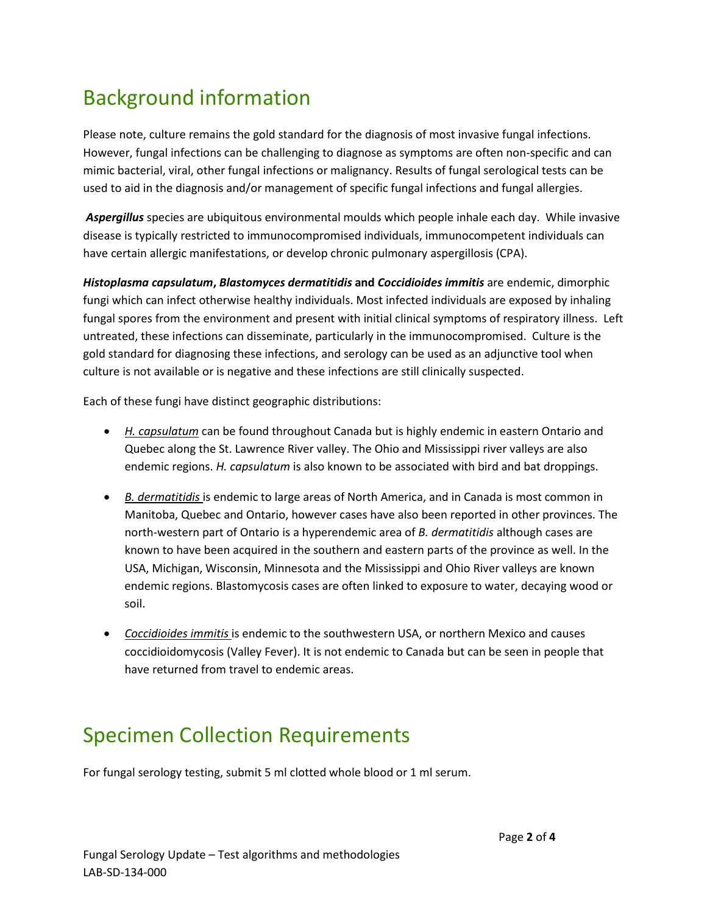# Background information

Please note, culture remains the gold standard for the diagnosis of most invasive fungal infections. However, fungal infections can be challenging to diagnose as symptoms are often non-specific and can mimic bacterial, viral, other fungal infections or malignancy. Results of fungal serological tests can be used to aid in the diagnosis and/or management of specific fungal infections and fungal allergies.

*Aspergillus* species are ubiquitous environmental moulds which people inhale each day. While invasive disease is typically restricted to immunocompromised individuals, immunocompetent individuals can have certain allergic manifestations, or develop chronic pulmonary aspergillosis (CPA).

*Histoplasma capsulatum***,** *Blastomyces dermatitidis* **and** *Coccidioides immitis* are endemic, dimorphic fungi which can infect otherwise healthy individuals. Most infected individuals are exposed by inhaling fungal spores from the environment and present with initial clinical symptoms of respiratory illness. Left untreated, these infections can disseminate, particularly in the immunocompromised. Culture is the gold standard for diagnosing these infections, and serology can be used as an adjunctive tool when culture is not available or is negative and these infections are still clinically suspected.

Each of these fungi have distinct geographic distributions:

- *H. capsulatum* can be found throughout Canada but is highly endemic in eastern Ontario and Quebec along the St. Lawrence River valley. The Ohio and Mississippi river valleys are also endemic regions. *H. capsulatum* is also known to be associated with bird and bat droppings.
- *B. dermatitidis* is endemic to large areas of North America, and in Canada is most common in Manitoba, Quebec and Ontario, however cases have also been reported in other provinces. The north-western part of Ontario is a hyperendemic area of *B. dermatitidis* although cases are known to have been acquired in the southern and eastern parts of the province as well. In the USA, Michigan, Wisconsin, Minnesota and the Mississippi and Ohio River valleys are known endemic regions. Blastomycosis cases are often linked to exposure to water, decaying wood or soil.
- *Coccidioides immitis* is endemic to the southwestern USA, or northern Mexico and causes coccidioidomycosis (Valley Fever). It is not endemic to Canada but can be seen in people that have returned from travel to endemic areas.

## Specimen Collection Requirements

For fungal serology testing, submit 5 ml clotted whole blood or 1 ml serum.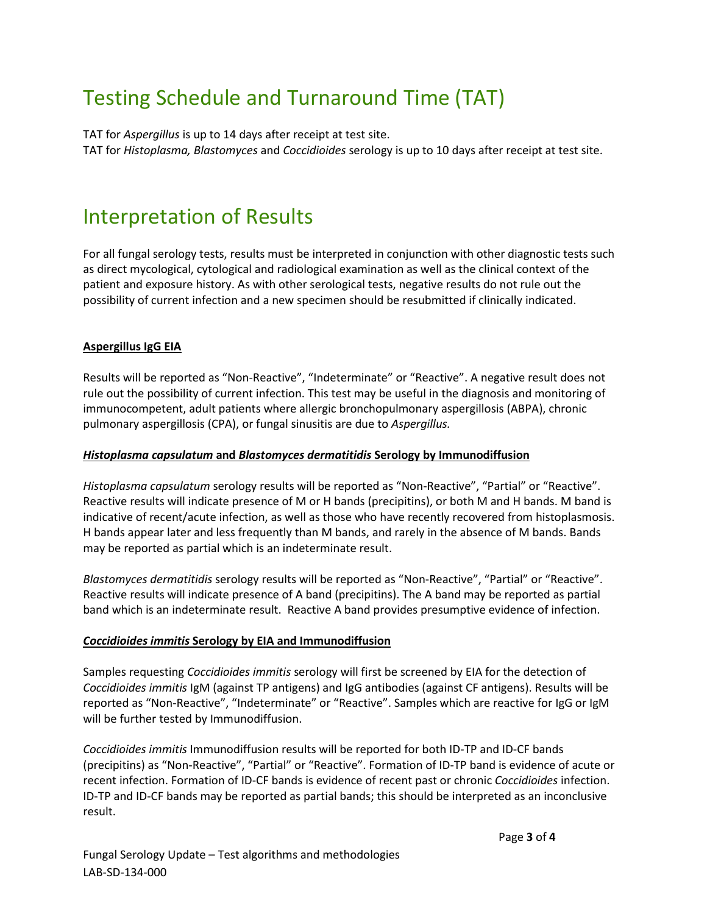# Testing Schedule and Turnaround Time (TAT)

TAT for *Aspergillus* is up to 14 days after receipt at test site. TAT for *Histoplasma, Blastomyces* and *Coccidioides* serology is up to 10 days after receipt at test site.

### Interpretation of Results

For all fungal serology tests, results must be interpreted in conjunction with other diagnostic tests such as direct mycological, cytological and radiological examination as well as the clinical context of the patient and exposure history. As with other serological tests, negative results do not rule out the possibility of current infection and a new specimen should be resubmitted if clinically indicated.

### **Aspergillus IgG EIA**

Results will be reported as "Non-Reactive", "Indeterminate" or "Reactive". A negative result does not rule out the possibility of current infection. This test may be useful in the diagnosis and monitoring of immunocompetent, adult patients where allergic bronchopulmonary aspergillosis (ABPA), chronic pulmonary aspergillosis (CPA), or fungal sinusitis are due to *Aspergillus.*

#### *Histoplasma capsulatum* **and** *Blastomyces dermatitidis* **Serology by Immunodiffusion**

*Histoplasma capsulatum* serology results will be reported as "Non-Reactive", "Partial" or "Reactive". Reactive results will indicate presence of M or H bands (precipitins), or both M and H bands. M band is indicative of recent/acute infection, as well as those who have recently recovered from histoplasmosis. H bands appear later and less frequently than M bands, and rarely in the absence of M bands. Bands may be reported as partial which is an indeterminate result.

*Blastomyces dermatitidis* serology results will be reported as "Non-Reactive", "Partial" or "Reactive". Reactive results will indicate presence of A band (precipitins). The A band may be reported as partial band which is an indeterminate result. Reactive A band provides presumptive evidence of infection.

#### *Coccidioides immitis* **Serology by EIA and Immunodiffusion**

Samples requesting *Coccidioides immitis* serology will first be screened by EIA for the detection of *Coccidioides immitis* IgM (against TP antigens) and IgG antibodies (against CF antigens). Results will be reported as "Non-Reactive", "Indeterminate" or "Reactive". Samples which are reactive for IgG or IgM will be further tested by Immunodiffusion.

*Coccidioides immitis* Immunodiffusion results will be reported for both ID-TP and ID-CF bands (precipitins) as "Non-Reactive", "Partial" or "Reactive". Formation of ID-TP band is evidence of acute or recent infection. Formation of ID-CF bands is evidence of recent past or chronic *Coccidioides* infection. ID-TP and ID-CF bands may be reported as partial bands; this should be interpreted as an inconclusive result.